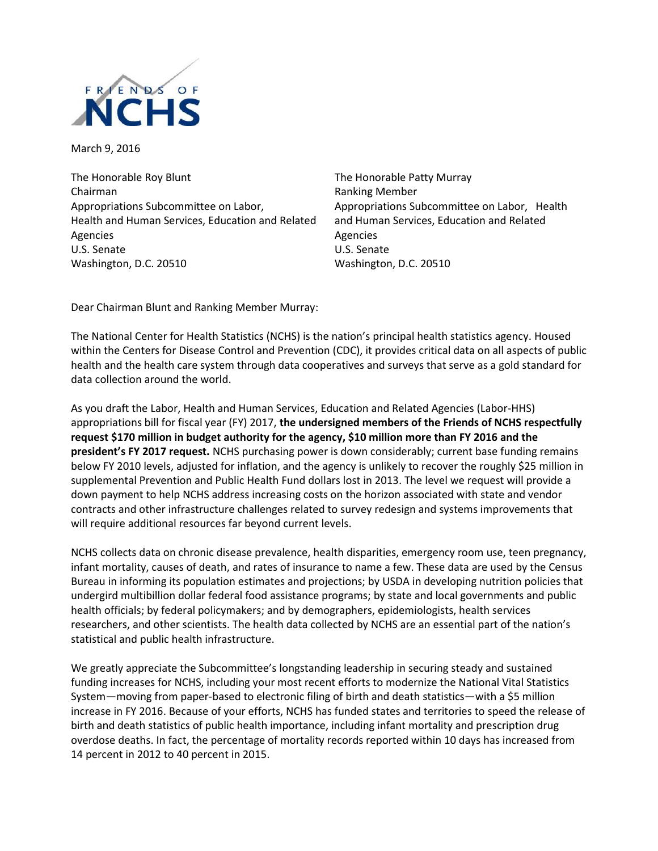

March 9, 2016

The Honorable Roy Blunt Chairman Appropriations Subcommittee on Labor, Health and Human Services, Education and Related Agencies U.S. Senate Washington, D.C. 20510

The Honorable Patty Murray Ranking Member Appropriations Subcommittee on Labor, Health and Human Services, Education and Related Agencies U.S. Senate Washington, D.C. 20510

Dear Chairman Blunt and Ranking Member Murray:

The National Center for Health Statistics (NCHS) is the nation's principal health statistics agency. Housed within the Centers for Disease Control and Prevention (CDC), it provides critical data on all aspects of public health and the health care system through data cooperatives and surveys that serve as a gold standard for data collection around the world.

As you draft the Labor, Health and Human Services, Education and Related Agencies (Labor-HHS) appropriations bill for fiscal year (FY) 2017, **the undersigned members of the Friends of NCHS respectfully request \$170 million in budget authority for the agency, \$10 million more than FY 2016 and the president's FY 2017 request.** NCHS purchasing power is down considerably; current base funding remains below FY 2010 levels, adjusted for inflation, and the agency is unlikely to recover the roughly \$25 million in supplemental Prevention and Public Health Fund dollars lost in 2013. The level we request will provide a down payment to help NCHS address increasing costs on the horizon associated with state and vendor contracts and other infrastructure challenges related to survey redesign and systems improvements that will require additional resources far beyond current levels.

NCHS collects data on chronic disease prevalence, health disparities, emergency room use, teen pregnancy, infant mortality, causes of death, and rates of insurance to name a few. These data are used by the Census Bureau in informing its population estimates and projections; by USDA in developing nutrition policies that undergird multibillion dollar federal food assistance programs; by state and local governments and public health officials; by federal policymakers; and by demographers, epidemiologists, health services researchers, and other scientists. The health data collected by NCHS are an essential part of the nation's statistical and public health infrastructure.

We greatly appreciate the Subcommittee's longstanding leadership in securing steady and sustained funding increases for NCHS, including your most recent efforts to modernize the National Vital Statistics System—moving from paper-based to electronic filing of birth and death statistics—with a \$5 million increase in FY 2016. Because of your efforts, NCHS has funded states and territories to speed the release of birth and death statistics of public health importance, including infant mortality and prescription drug overdose deaths. In fact, the percentage of mortality records reported within 10 days has increased from 14 percent in 2012 to 40 percent in 2015.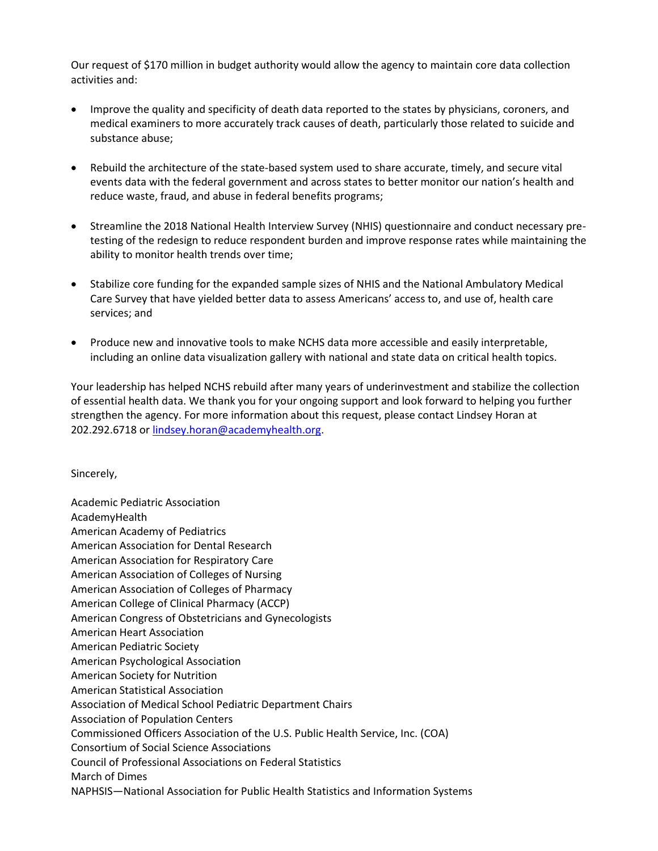Our request of \$170 million in budget authority would allow the agency to maintain core data collection activities and:

- Improve the quality and specificity of death data reported to the states by physicians, coroners, and medical examiners to more accurately track causes of death, particularly those related to suicide and substance abuse;
- Rebuild the architecture of the state-based system used to share accurate, timely, and secure vital events data with the federal government and across states to better monitor our nation's health and reduce waste, fraud, and abuse in federal benefits programs;
- Streamline the 2018 National Health Interview Survey (NHIS) questionnaire and conduct necessary pretesting of the redesign to reduce respondent burden and improve response rates while maintaining the ability to monitor health trends over time;
- Stabilize core funding for the expanded sample sizes of NHIS and the National Ambulatory Medical Care Survey that have yielded better data to assess Americans' access to, and use of, health care services; and
- Produce new and innovative tools to make NCHS data more accessible and easily interpretable, including an online data visualization gallery with national and state data on critical health topics.

Your leadership has helped NCHS rebuild after many years of underinvestment and stabilize the collection of essential health data. We thank you for your ongoing support and look forward to helping you further strengthen the agency. For more information about this request, please contact Lindsey Horan at 202.292.6718 or [lindsey.horan@academyhealth.org.](mailto:lindsey.horan@academyhealth.org)

Sincerely,

Academic Pediatric Association AcademyHealth American Academy of Pediatrics American Association for Dental Research American Association for Respiratory Care American Association of Colleges of Nursing American Association of Colleges of Pharmacy American College of Clinical Pharmacy (ACCP) American Congress of Obstetricians and Gynecologists American Heart Association American Pediatric Society American Psychological Association American Society for Nutrition American Statistical Association Association of Medical School Pediatric Department Chairs Association of Population Centers Commissioned Officers Association of the U.S. Public Health Service, Inc. (COA) Consortium of Social Science Associations Council of Professional Associations on Federal Statistics March of Dimes NAPHSIS—National Association for Public Health Statistics and Information Systems